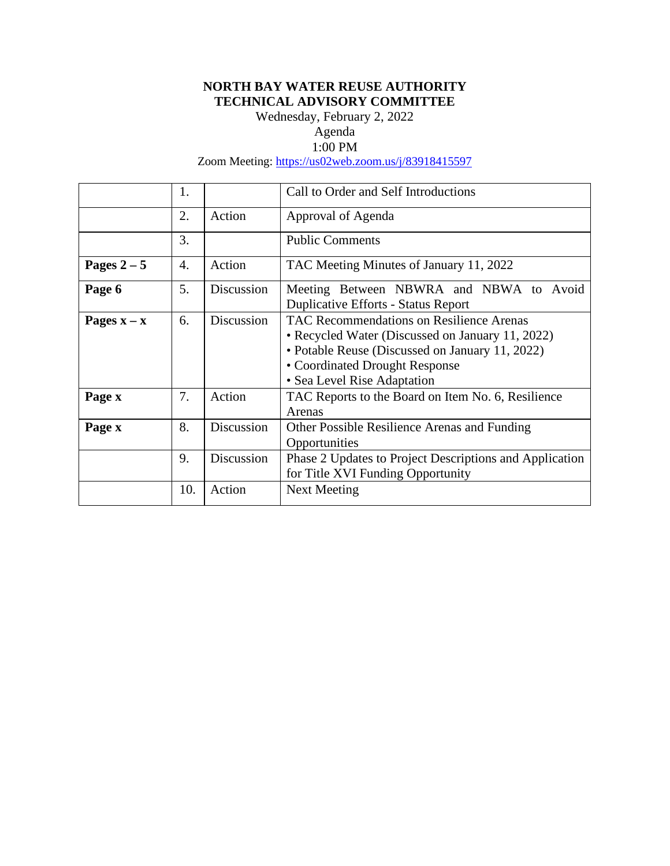# **NORTH BAY WATER REUSE AUTHORITY TECHNICAL ADVISORY COMMITTEE**

Wednesday, February 2, 2022

# Agenda

# 1:00 PM

Zoom Meeting:<https://us02web.zoom.us/j/83918415597>

|               | 1.  |            | Call to Order and Self Introductions                                                                                                                                                                             |
|---------------|-----|------------|------------------------------------------------------------------------------------------------------------------------------------------------------------------------------------------------------------------|
|               | 2.  | Action     | Approval of Agenda                                                                                                                                                                                               |
|               | 3.  |            | <b>Public Comments</b>                                                                                                                                                                                           |
| Pages $2-5$   | 4.  | Action     | TAC Meeting Minutes of January 11, 2022                                                                                                                                                                          |
| Page 6        | 5.  | Discussion | Meeting Between NBWRA and NBWA to Avoid<br><b>Duplicative Efforts - Status Report</b>                                                                                                                            |
| Pages $x - x$ | 6.  | Discussion | TAC Recommendations on Resilience Arenas<br>• Recycled Water (Discussed on January 11, 2022)<br>• Potable Reuse (Discussed on January 11, 2022)<br>• Coordinated Drought Response<br>• Sea Level Rise Adaptation |
| Page x        | 7.  | Action     | TAC Reports to the Board on Item No. 6, Resilience<br>Arenas                                                                                                                                                     |
| Page x        | 8.  | Discussion | Other Possible Resilience Arenas and Funding<br>Opportunities                                                                                                                                                    |
|               | 9.  | Discussion | Phase 2 Updates to Project Descriptions and Application<br>for Title XVI Funding Opportunity                                                                                                                     |
|               | 10. | Action     | Next Meeting                                                                                                                                                                                                     |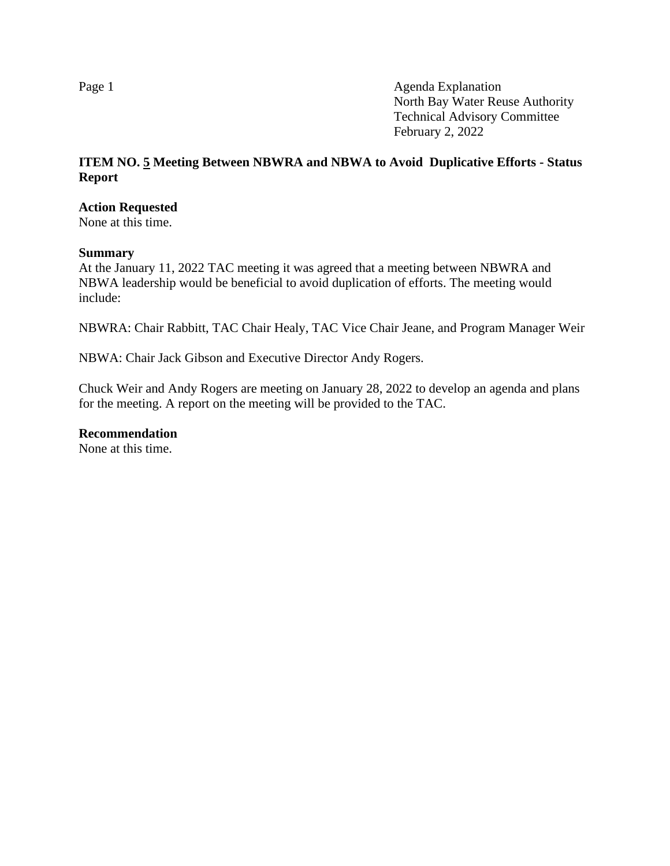# **ITEM NO. 5 Meeting Between NBWRA and NBWA to Avoid Duplicative Efforts - Status Report**

#### **Action Requested**

None at this time.

#### **Summary**

At the January 11, 2022 TAC meeting it was agreed that a meeting between NBWRA and NBWA leadership would be beneficial to avoid duplication of efforts. The meeting would include:

NBWRA: Chair Rabbitt, TAC Chair Healy, TAC Vice Chair Jeane, and Program Manager Weir

NBWA: Chair Jack Gibson and Executive Director Andy Rogers.

Chuck Weir and Andy Rogers are meeting on January 28, 2022 to develop an agenda and plans for the meeting. A report on the meeting will be provided to the TAC.

**Recommendation**

None at this time.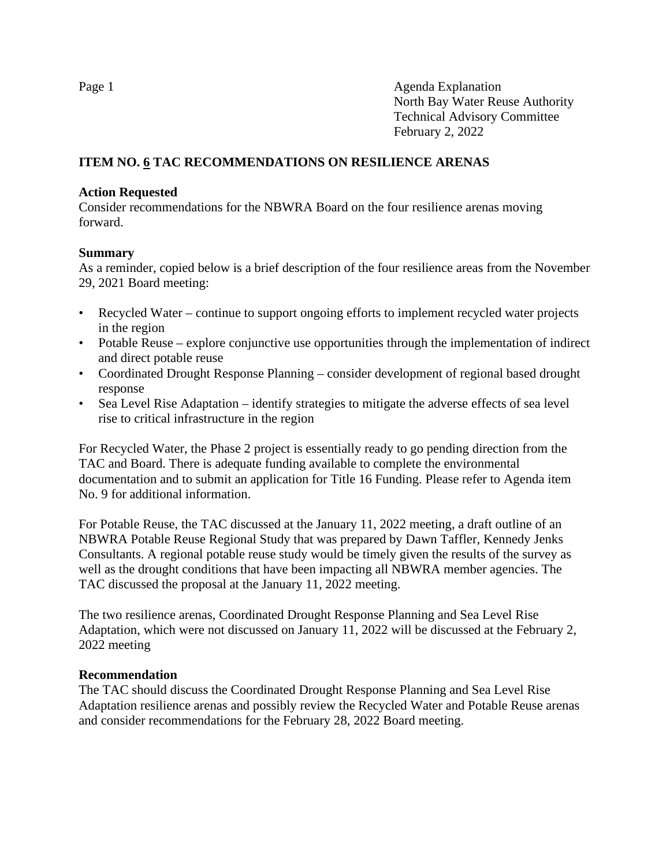# **ITEM NO. 6 TAC RECOMMENDATIONS ON RESILIENCE ARENAS**

### **Action Requested**

Consider recommendations for the NBWRA Board on the four resilience arenas moving forward.

### **Summary**

As a reminder, copied below is a brief description of the four resilience areas from the November 29, 2021 Board meeting:

- Recycled Water continue to support ongoing efforts to implement recycled water projects in the region
- Potable Reuse explore conjunctive use opportunities through the implementation of indirect and direct potable reuse
- Coordinated Drought Response Planning consider development of regional based drought response
- Sea Level Rise Adaptation identify strategies to mitigate the adverse effects of sea level rise to critical infrastructure in the region

For Recycled Water, the Phase 2 project is essentially ready to go pending direction from the TAC and Board. There is adequate funding available to complete the environmental documentation and to submit an application for Title 16 Funding. Please refer to Agenda item No. 9 for additional information.

For Potable Reuse, the TAC discussed at the January 11, 2022 meeting, a draft outline of an NBWRA Potable Reuse Regional Study that was prepared by Dawn Taffler, Kennedy Jenks Consultants. A regional potable reuse study would be timely given the results of the survey as well as the drought conditions that have been impacting all NBWRA member agencies. The TAC discussed the proposal at the January 11, 2022 meeting.

The two resilience arenas, Coordinated Drought Response Planning and Sea Level Rise Adaptation, which were not discussed on January 11, 2022 will be discussed at the February 2, 2022 meeting

# **Recommendation**

The TAC should discuss the Coordinated Drought Response Planning and Sea Level Rise Adaptation resilience arenas and possibly review the Recycled Water and Potable Reuse arenas and consider recommendations for the February 28, 2022 Board meeting.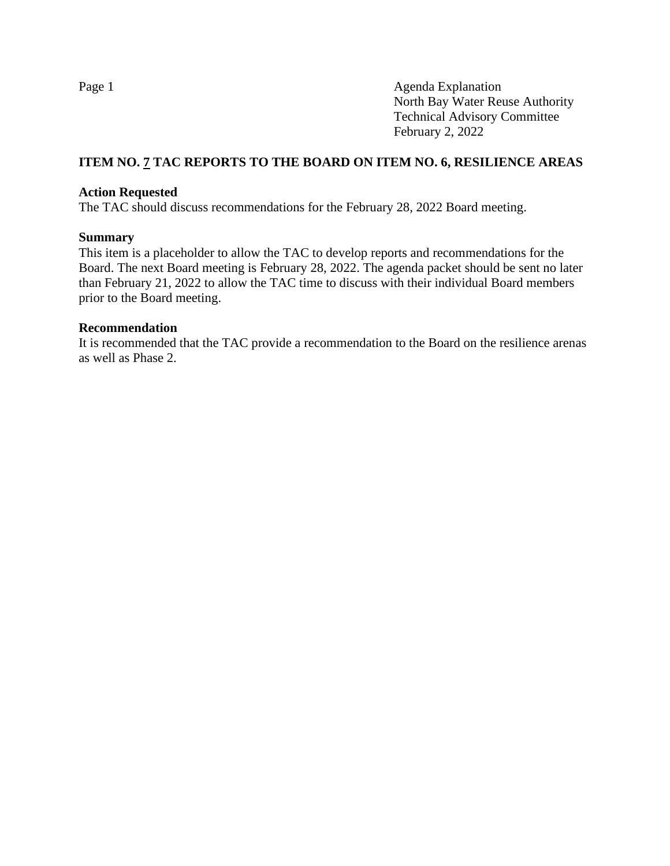### **ITEM NO. 7 TAC REPORTS TO THE BOARD ON ITEM NO. 6, RESILIENCE AREAS**

### **Action Requested**

The TAC should discuss recommendations for the February 28, 2022 Board meeting.

#### **Summary**

This item is a placeholder to allow the TAC to develop reports and recommendations for the Board. The next Board meeting is February 28, 2022. The agenda packet should be sent no later than February 21, 2022 to allow the TAC time to discuss with their individual Board members prior to the Board meeting.

#### **Recommendation**

It is recommended that the TAC provide a recommendation to the Board on the resilience arenas as well as Phase 2.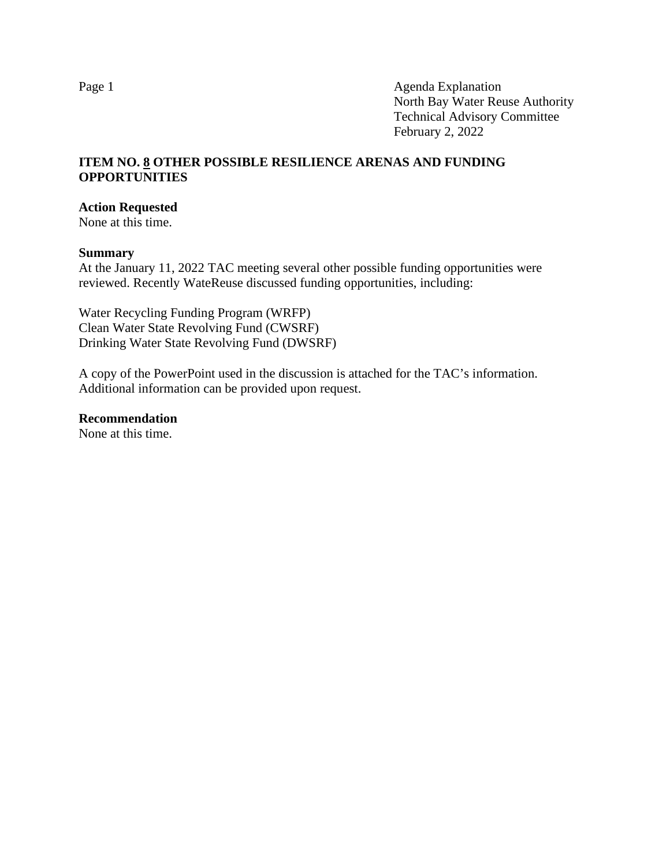### **ITEM NO. 8 OTHER POSSIBLE RESILIENCE ARENAS AND FUNDING OPPORTUNITIES**

#### **Action Requested**

None at this time.

#### **Summary**

At the January 11, 2022 TAC meeting several other possible funding opportunities were reviewed. Recently WateReuse discussed funding opportunities, including:

Water Recycling Funding Program (WRFP) Clean Water State Revolving Fund (CWSRF) Drinking Water State Revolving Fund (DWSRF)

A copy of the PowerPoint used in the discussion is attached for the TAC's information. Additional information can be provided upon request.

#### **Recommendation**

None at this time.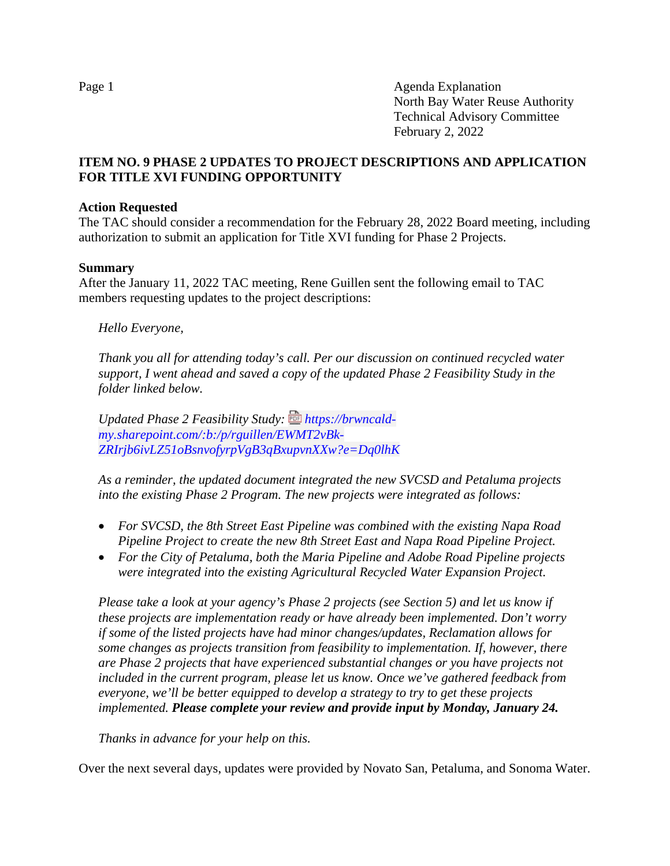# **ITEM NO. 9 PHASE 2 UPDATES TO PROJECT DESCRIPTIONS AND APPLICATION FOR TITLE XVI FUNDING OPPORTUNITY**

### **Action Requested**

The TAC should consider a recommendation for the February 28, 2022 Board meeting, including authorization to submit an application for Title XVI funding for Phase 2 Projects.

#### **Summary**

After the January 11, 2022 TAC meeting, Rene Guillen sent the following email to TAC members requesting updates to the project descriptions:

*Hello Everyone,*

*Thank you all for attending today's call. Per our discussion on continued recycled water support, I went ahead and saved a copy of the updated Phase 2 Feasibility Study in the folder linked below.* 

Updated Phase 2 Feasibility Study: *https://brwncald[my.sharepoint.com/:b:/p/rguillen/EWMT2vBk-](https://brwncald-my.sharepoint.com/:b:/p/rguillen/EWMT2vBk-ZRIrjb6ivLZ51oBsnvofyrpVgB3qBxupvnXXw?e=Dq0lhK)[ZRIrjb6ivLZ51oBsnvofyrpVgB3qBxupvnXXw?e=Dq0lhK](https://brwncald-my.sharepoint.com/:b:/p/rguillen/EWMT2vBk-ZRIrjb6ivLZ51oBsnvofyrpVgB3qBxupvnXXw?e=Dq0lhK)*

*As a reminder, the updated document integrated the new SVCSD and Petaluma projects into the existing Phase 2 Program. The new projects were integrated as follows:* 

- *For SVCSD, the 8th Street East Pipeline was combined with the existing Napa Road Pipeline Project to create the new 8th Street East and Napa Road Pipeline Project.*
- *For the City of Petaluma, both the Maria Pipeline and Adobe Road Pipeline projects were integrated into the existing Agricultural Recycled Water Expansion Project.*

*Please take a look at your agency's Phase 2 projects (see Section 5) and let us know if these projects are implementation ready or have already been implemented. Don't worry if some of the listed projects have had minor changes/updates, Reclamation allows for some changes as projects transition from feasibility to implementation. If, however, there are Phase 2 projects that have experienced substantial changes or you have projects not included in the current program, please let us know. Once we've gathered feedback from everyone, we'll be better equipped to develop a strategy to try to get these projects implemented. Please complete your review and provide input by Monday, January 24.*

*Thanks in advance for your help on this.* 

Over the next several days, updates were provided by Novato San, Petaluma, and Sonoma Water.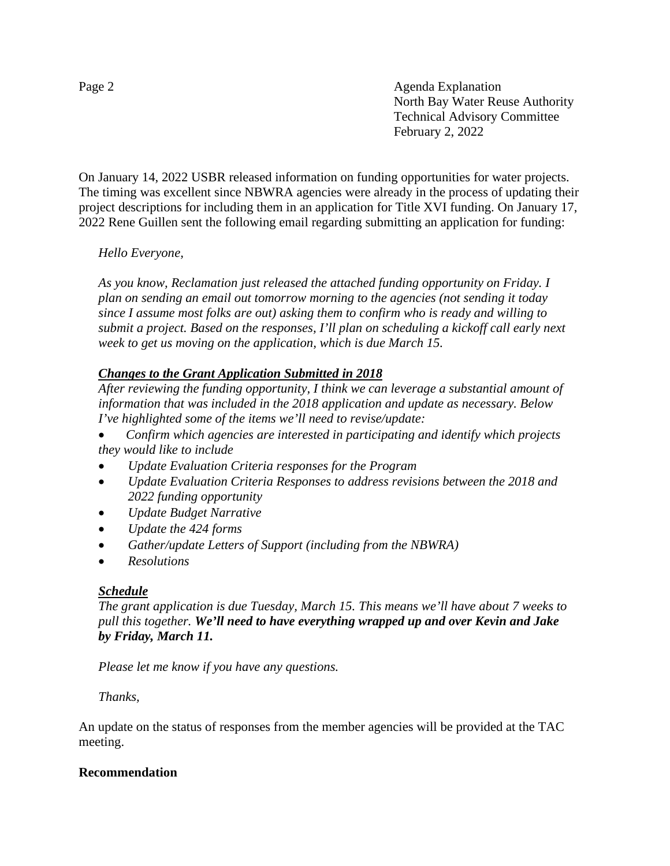On January 14, 2022 USBR released information on funding opportunities for water projects. The timing was excellent since NBWRA agencies were already in the process of updating their project descriptions for including them in an application for Title XVI funding. On January 17, 2022 Rene Guillen sent the following email regarding submitting an application for funding:

# *Hello Everyone,*

*As you know, Reclamation just released the attached funding opportunity on Friday. I plan on sending an email out tomorrow morning to the agencies (not sending it today since I assume most folks are out) asking them to confirm who is ready and willing to submit a project. Based on the responses, I'll plan on scheduling a kickoff call early next week to get us moving on the application, which is due March 15.*

# *Changes to the Grant Application Submitted in 2018*

*After reviewing the funding opportunity, I think we can leverage a substantial amount of information that was included in the 2018 application and update as necessary. Below I've highlighted some of the items we'll need to revise/update:*

- *Confirm which agencies are interested in participating and identify which projects they would like to include*
- *Update Evaluation Criteria responses for the Program*
- *Update Evaluation Criteria Responses to address revisions between the 2018 and 2022 funding opportunity*
- *Update Budget Narrative*
- *Update the 424 forms*
- *Gather/update Letters of Support (including from the NBWRA)*
- *Resolutions*

### *Schedule*

*The grant application is due Tuesday, March 15. This means we'll have about 7 weeks to pull this together. We'll need to have everything wrapped up and over Kevin and Jake by Friday, March 11.*

*Please let me know if you have any questions.*

### *Thanks,*

An update on the status of responses from the member agencies will be provided at the TAC meeting.

### **Recommendation**